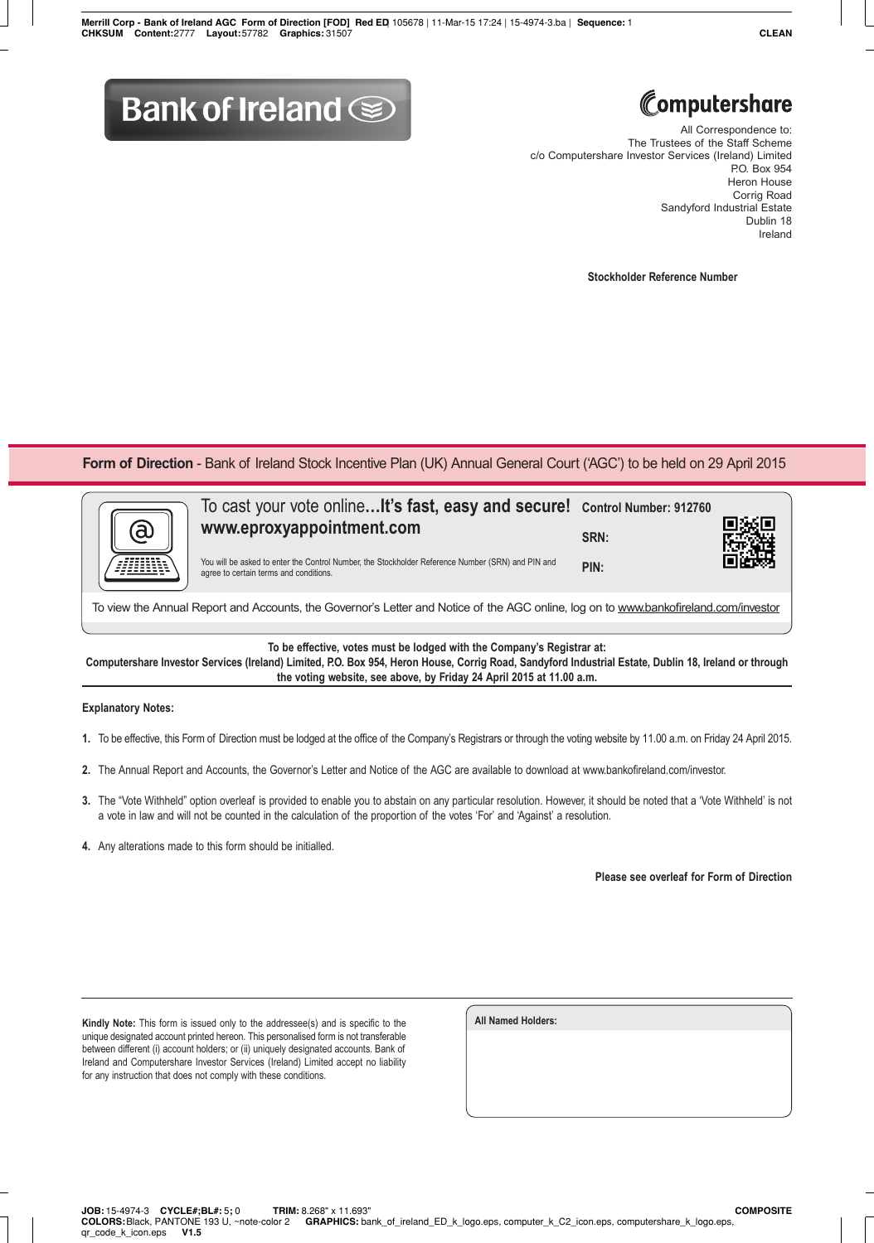## **Bank of Ireland Some**



All Correspondence to: The Trustees of the Staff Scheme c/o Computershare Investor Services (Ireland) Limited P.O. Box 954 Heron House Corrig Road Sandyford Industrial Estate Dublin 18 Ireland

**Stockholder Reference Number**

**Form of Direction** - Bank of Ireland Stock Incentive Plan (UK) Annual General Court ('AGC') to be held on 29 April 2015



To view the Annual Report and Accounts, the Governor's Letter and Notice of the AGC online, log on to www.bankofireland.com/investor

**To be effective, votes must be lodged with the Company's Registrar at:**

**Computershare Investor Services (Ireland) Limited, P.O. Box 954, Heron House, Corrig Road, Sandyford Industrial Estate, Dublin 18, Ireland or through the voting website, see above, by Friday 24 April 2015 at 11.00 a.m.**

## **Explanatory Notes:**

- **1.** To be effective, this Form of Direction must be lodged at the office of the Company's Registrars or through the voting website by 11.00 a.m. on Friday 24 April 2015.
- **2.** The Annual Report and Accounts, the Governor's Letter and Notice of the AGC are available to download at www.bankofireland.com/investor.
- **3.** The "Vote Withheld" option overleaf is provided to enable you to abstain on any particular resolution. However, it should be noted that a 'Vote Withheld' is not a vote in law and will not be counted in the calculation of the proportion of the votes 'For' and 'Against' a resolution.
- **4.** Any alterations made to this form should be initialled.

**Please see overleaf for Form of Direction**

**Kindly Note:** This form is issued only to the addressee(s) and is specific to the unique designated account printed hereon. This personalised form is not transferable between different (i) account holders; or (ii) uniquely designated accounts. Bank of Ireland and Computershare Investor Services (Ireland) Limited accept no liability for any instruction that does not comply with these conditions.

| All Named Holders: |  |  |
|--------------------|--|--|
|                    |  |  |
|                    |  |  |
|                    |  |  |
|                    |  |  |
|                    |  |  |
|                    |  |  |
|                    |  |  |